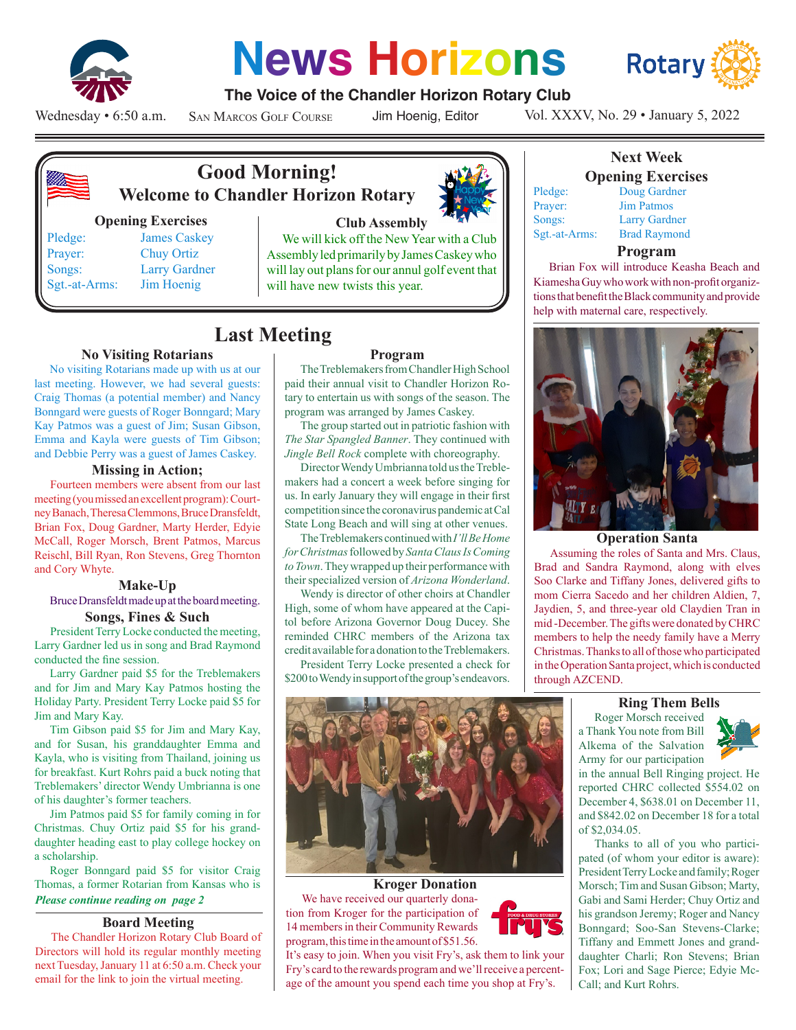

# **News Horizons**



### **The Voice of the Chandler Horizon Rotary Club**

Wednesday • 6:50 a.m.

San Marcos Golf Course

Jim Hoenig, Editor

Vol. XXXV, No. 29 • January 5, 2022



## **Good Morning! Welcome to Chandler Horizon Rotary**

#### **Opening Exercises**

Prayer: Chuy Ortiz Sgt.-at-Arms: Jim Hoenig

Pledge: James Caskey Songs: Larry Gardner

#### **Club Assembly**

We will kick off the New Year with a Club Assembly led primarily by James Caskey who will lay out plans for our annul golf event that will have new twists this year.

# **Last Meeting**

#### **No Visiting Rotarians**

No visiting Rotarians made up with us at our last meeting. However, we had several guests: Craig Thomas (a potential member) and Nancy Bonngard were guests of Roger Bonngard; Mary Kay Patmos was a guest of Jim; Susan Gibson, Emma and Kayla were guests of Tim Gibson; and Debbie Perry was a guest of James Caskey.

#### **Missing in Action;**

Fourteen members were absent from our last meeting (you missed an excellent program): Courtney Banach, Theresa Clemmons, Bruce Dransfeldt, Brian Fox, Doug Gardner, Marty Herder, Edyie McCall, Roger Morsch, Brent Patmos, Marcus Reischl, Bill Ryan, Ron Stevens, Greg Thornton and Cory Whyte.

#### **Make-Up**

Bruce Dransfeldt made up at the board meeting.

## **Songs, Fines & Such**

President Terry Locke conducted the meeting, Larry Gardner led us in song and Brad Raymond conducted the fine session.

Larry Gardner paid \$5 for the Treblemakers and for Jim and Mary Kay Patmos hosting the Holiday Party. President Terry Locke paid \$5 for Jim and Mary Kay.

Tim Gibson paid \$5 for Jim and Mary Kay, and for Susan, his granddaughter Emma and Kayla, who is visiting from Thailand, joining us for breakfast. Kurt Rohrs paid a buck noting that Treblemakers' director Wendy Umbrianna is one of his daughter's former teachers.

Jim Patmos paid \$5 for family coming in for Christmas. Chuy Ortiz paid \$5 for his granddaughter heading east to play college hockey on a scholarship.

*Please continue reading on page 2* Roger Bonngard paid \$5 for visitor Craig Thomas, a former Rotarian from Kansas who is **Kroger Donation** 

#### **Board Meeting**

The Chandler Horizon Rotary Club Board of Directors will hold its regular monthly meeting next Tuesday, January 11 at 6:50 a.m. Check your email for the link to join the virtual meeting.



The Treblemakers from Chandler High School paid their annual visit to Chandler Horizon Rotary to entertain us with songs of the season. The program was arranged by James Caskey.

The group started out in patriotic fashion with *The Star Spangled Banner*. They continued with *Jingle Bell Rock* complete with choreography.

Director Wendy Umbrianna told us the Treblemakers had a concert a week before singing for us. In early January they will engage in their first competition since the coronavirus pandemic at Cal State Long Beach and will sing at other venues.

The Treblemakers continued with *I'll Be Home for Christmas* followed by *Santa Claus Is Coming to Town*. They wrapped up their performance with their specialized version of *Arizona Wonderland*.

Wendy is director of other choirs at Chandler High, some of whom have appeared at the Capitol before Arizona Governor Doug Ducey. She reminded CHRC members of the Arizona tax credit available for a donation to the Treblemakers.

President Terry Locke presented a check for \$200 to Wendy in support of the group's endeavors.



#### **Next Week Opening Exercises**

Pledge: Doug Gardner Prayer: Jim Patmos Songs: Larry Gardner Sgt.-at-Arms: Brad Raymond

#### **Program**

Brian Fox will introduce Keasha Beach and Kiamesha Guy who work with non-profit organiztions that benefit the Black community and provide help with maternal care, respectively.



#### **Operation Santa**

Assuming the roles of Santa and Mrs. Claus, Brad and Sandra Raymond, along with elves Soo Clarke and Tiffany Jones, delivered gifts to mom Cierra Sacedo and her children Aldien, 7, Jaydien, 5, and three-year old Claydien Tran in mid -December. The gifts were donated by CHRC members to help the needy family have a Merry Christmas. Thanks to all of those who participated in the Operation Santa project, which is conducted through AZCEND.

#### **Ring Them Bells**

Roger Morsch received a Thank You note from Bill Alkema of the Salvation



Army for our participation in the annual Bell Ringing project. He reported CHRC collected \$554.02 on December 4, \$638.01 on December 11, and \$842.02 on December 18 for a total of \$2,034.05.

Thanks to all of you who participated (of whom your editor is aware): President Terry Locke and family; Roger Morsch; Tim and Susan Gibson; Marty, Gabi and Sami Herder; Chuy Ortiz and his grandson Jeremy; Roger and Nancy Bonngard; Soo-San Stevens-Clarke; Tiffany and Emmett Jones and granddaughter Charli; Ron Stevens; Brian Fox; Lori and Sage Pierce; Edyie Mc-Call; and Kurt Rohrs.



We have received our quarterly donation from Kroger for the participation of 14 members in their Community Rewards program, this time in the amount of \$51.56.

It's easy to join. When you visit Fry's, ask them to link your Fry's card to the rewards program and we'll receive a percentage of the amount you spend each time you shop at Fry's.